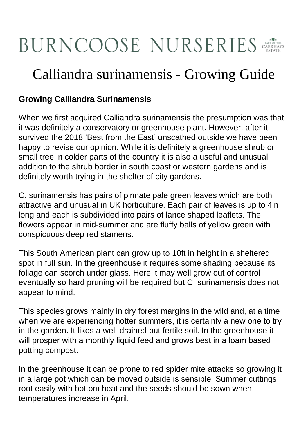## BURNCOOSE NURSERIES

## Calliandra surinamensis - Growing Guide

## **Growing Calliandra Surinamensis**

When we first acquired Calliandra surinamensis the presumption was that it was definitely a conservatory or greenhouse plant. However, after it survived the 2018 'Best from the East' unscathed outside we have been happy to revise our opinion. While it is definitely a greenhouse shrub or small tree in colder parts of the country it is also a useful and unusual addition to the shrub border in south coast or western gardens and is definitely worth trying in the shelter of city gardens.

C. surinamensis has pairs of pinnate pale green leaves which are both attractive and unusual in UK horticulture. Each pair of leaves is up to 4in long and each is subdivided into pairs of lance shaped leaflets. The flowers appear in mid-summer and are fluffy balls of yellow green with conspicuous deep red stamens.

This South American plant can grow up to 10ft in height in a sheltered spot in full sun. In the greenhouse it requires some shading because its foliage can scorch under glass. Here it may well grow out of control eventually so hard pruning will be required but C. surinamensis does not appear to mind.

This species grows mainly in dry forest margins in the wild and, at a time when we are experiencing hotter summers, it is certainly a new one to try in the garden. It likes a well-drained but fertile soil. In the greenhouse it will prosper with a monthly liquid feed and grows best in a loam based potting compost.

In the greenhouse it can be prone to red spider mite attacks so growing it in a large pot which can be moved outside is sensible. Summer cuttings root easily with bottom heat and the seeds should be sown when temperatures increase in April.